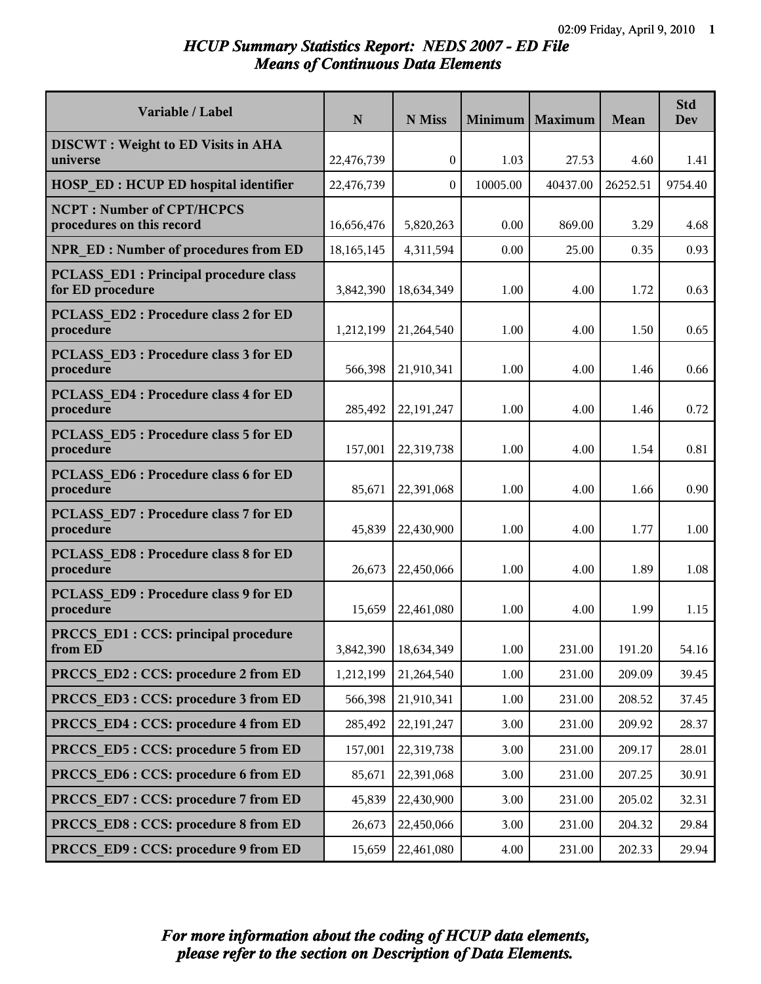### *HCUP Summary Statistics Report: NEDS 2007 - ED File Means of Continuous Data Elements*

| Variable / Label                                                 | N            | N Miss       | Minimum  | Maximum  | Mean     | <b>Std</b><br><b>Dev</b> |
|------------------------------------------------------------------|--------------|--------------|----------|----------|----------|--------------------------|
| <b>DISCWT</b> : Weight to ED Visits in AHA                       |              |              |          |          |          |                          |
| universe                                                         | 22,476,739   | $\mathbf{0}$ | 1.03     | 27.53    | 4.60     | 1.41                     |
| <b>HOSP ED: HCUP ED hospital identifier</b>                      | 22,476,739   | $\theta$     | 10005.00 | 40437.00 | 26252.51 | 9754.40                  |
| <b>NCPT: Number of CPT/HCPCS</b><br>procedures on this record    | 16,656,476   | 5,820,263    | 0.00     | 869.00   | 3.29     | 4.68                     |
| <b>NPR ED: Number of procedures from ED</b>                      | 18, 165, 145 | 4,311,594    | 0.00     | 25.00    | 0.35     | 0.93                     |
| <b>PCLASS ED1: Principal procedure class</b><br>for ED procedure | 3,842,390    | 18,634,349   | 1.00     | 4.00     | 1.72     | 0.63                     |
| <b>PCLASS ED2: Procedure class 2 for ED</b><br>procedure         | 1,212,199    | 21,264,540   | 1.00     | 4.00     | 1.50     | 0.65                     |
| PCLASS ED3 : Procedure class 3 for ED<br>procedure               | 566,398      | 21,910,341   | 1.00     | 4.00     | 1.46     | 0.66                     |
| <b>PCLASS ED4: Procedure class 4 for ED</b><br>procedure         | 285,492      | 22, 191, 247 | 1.00     | 4.00     | 1.46     | 0.72                     |
| <b>PCLASS ED5: Procedure class 5 for ED</b><br>procedure         | 157,001      | 22,319,738   | 1.00     | 4.00     | 1.54     | 0.81                     |
| <b>PCLASS ED6: Procedure class 6 for ED</b><br>procedure         | 85,671       | 22,391,068   | 1.00     | 4.00     | 1.66     | 0.90                     |
| PCLASS ED7: Procedure class 7 for ED<br>procedure                | 45,839       | 22,430,900   | 1.00     | 4.00     | 1.77     | 1.00                     |
| <b>PCLASS ED8: Procedure class 8 for ED</b><br>procedure         | 26,673       | 22,450,066   | 1.00     | 4.00     | 1.89     | 1.08                     |
| PCLASS ED9 : Procedure class 9 for ED<br>procedure               | 15,659       | 22,461,080   | 1.00     | 4.00     | 1.99     | 1.15                     |
| PRCCS ED1 : CCS: principal procedure<br>from ED                  | 3,842,390    | 18,634,349   | 1.00     | 231.00   | 191.20   | 54.16                    |
| PRCCS ED2: CCS: procedure 2 from ED                              | 1,212,199    | 21,264,540   | 1.00     | 231.00   | 209.09   | 39.45                    |
| PRCCS ED3 : CCS: procedure 3 from ED                             | 566,398      | 21,910,341   | 1.00     | 231.00   | 208.52   | 37.45                    |
| PRCCS ED4 : CCS: procedure 4 from ED                             | 285,492      | 22,191,247   | 3.00     | 231.00   | 209.92   | 28.37                    |
| PRCCS ED5: CCS: procedure 5 from ED                              | 157,001      | 22,319,738   | 3.00     | 231.00   | 209.17   | 28.01                    |
| PRCCS ED6 : CCS: procedure 6 from ED                             | 85,671       | 22,391,068   | 3.00     | 231.00   | 207.25   | 30.91                    |
| PRCCS ED7: CCS: procedure 7 from ED                              | 45,839       | 22,430,900   | 3.00     | 231.00   | 205.02   | 32.31                    |
| PRCCS ED8 : CCS: procedure 8 from ED                             | 26,673       | 22,450,066   | 3.00     | 231.00   | 204.32   | 29.84                    |
| PRCCS ED9: CCS: procedure 9 from ED                              | 15,659       | 22,461,080   | 4.00     | 231.00   | 202.33   | 29.94                    |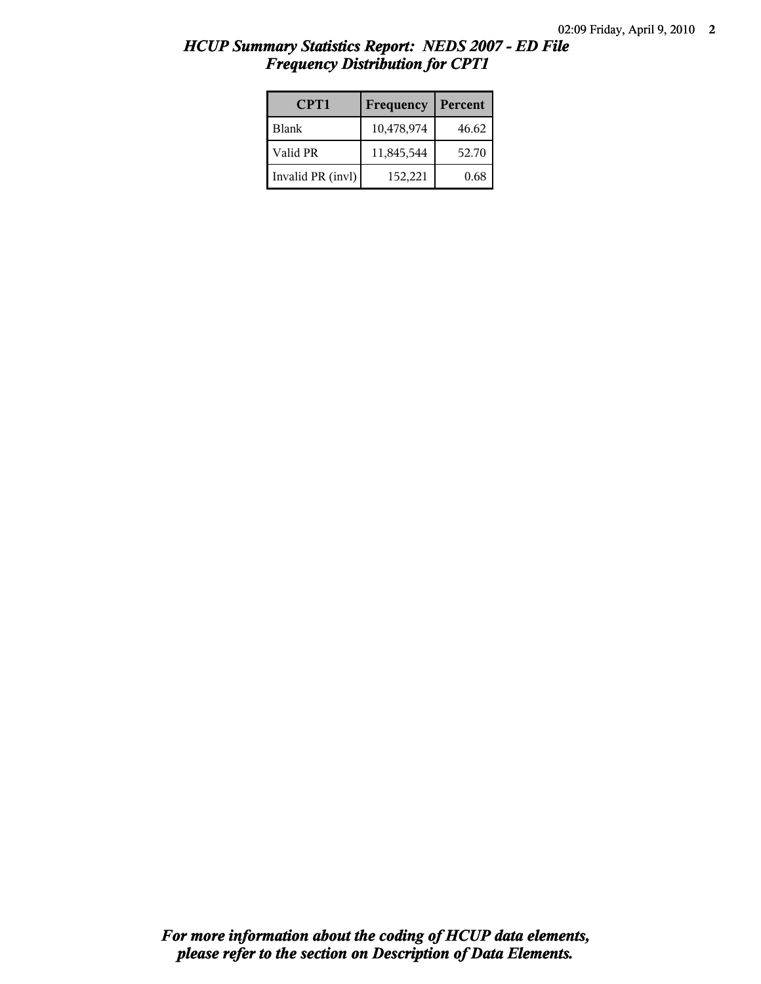| CPT1              | Frequency  | Percent |
|-------------------|------------|---------|
| Blank             | 10,478,974 | 46.62   |
| Valid PR          | 11,845,544 | 52.70   |
| Invalid PR (invl) | 152,221    | 0.68    |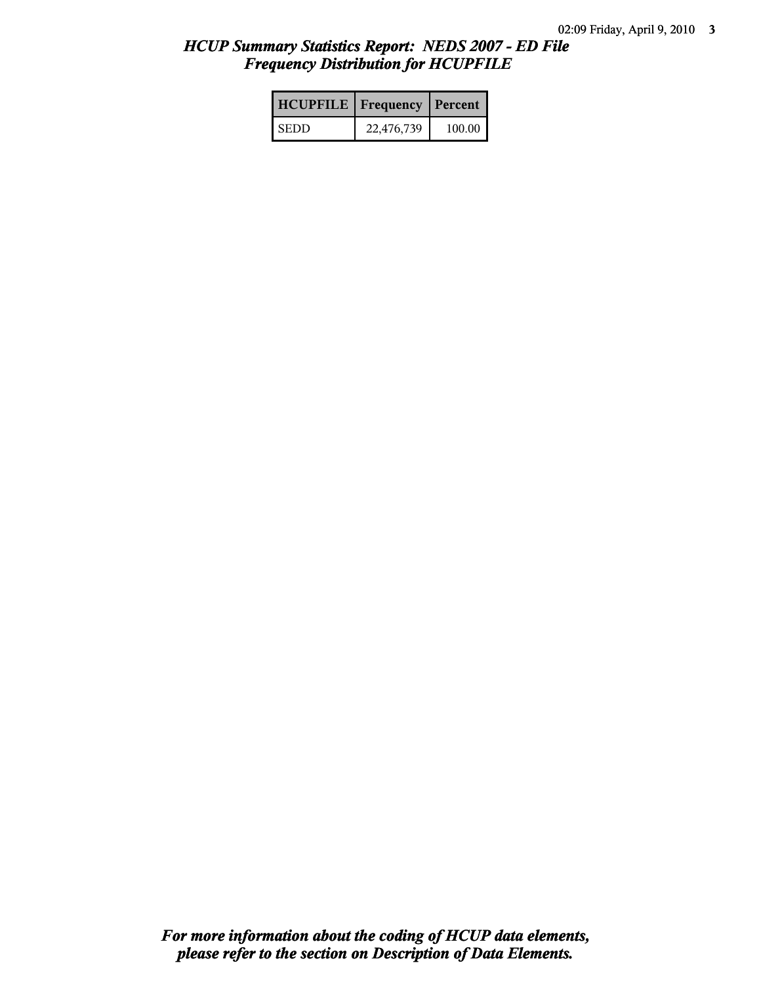| <b>HCUPFILE</b>   Frequency   Percent |            |        |
|---------------------------------------|------------|--------|
| <b>SEDD</b>                           | 22,476,739 | 100.00 |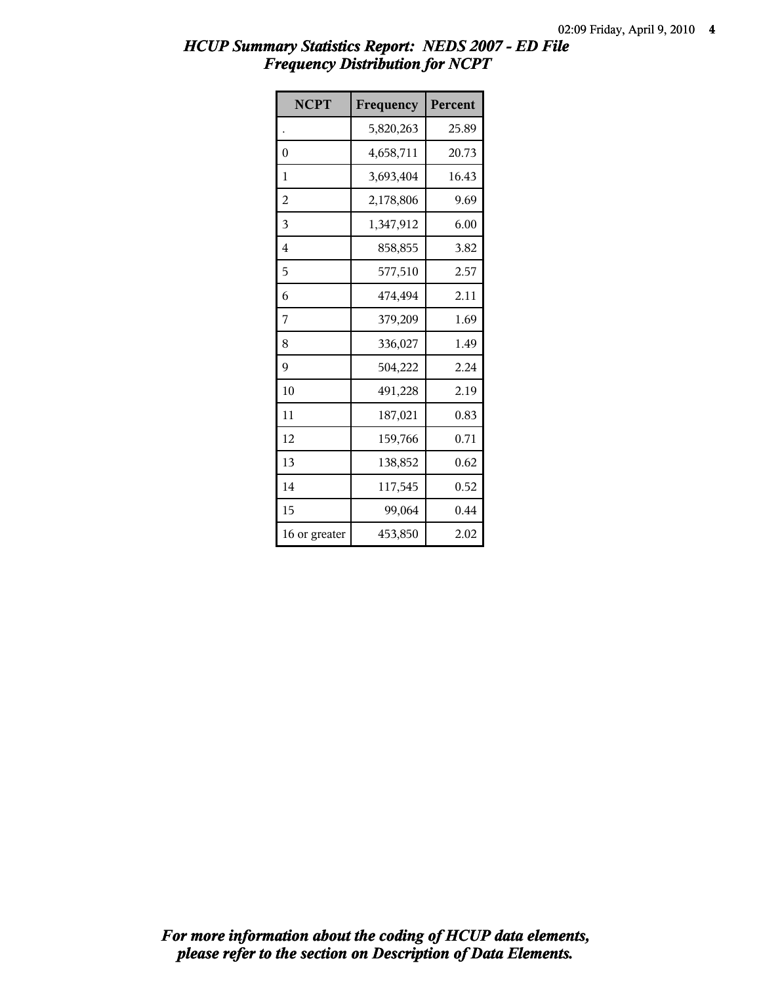| <b>NCPT</b>   | Frequency | Percent |
|---------------|-----------|---------|
|               | 5,820,263 | 25.89   |
| $\theta$      | 4,658,711 | 20.73   |
| 1             | 3,693,404 | 16.43   |
| 2             | 2,178,806 | 9.69    |
| 3             | 1,347,912 | 6.00    |
| 4             | 858,855   | 3.82    |
| 5             | 577,510   | 2.57    |
| 6             | 474,494   | 2.11    |
| 7             | 379,209   | 1.69    |
| 8             | 336,027   | 1.49    |
| 9             | 504,222   | 2.24    |
| 10            | 491,228   | 2.19    |
| 11            | 187,021   | 0.83    |
| 12            | 159,766   | 0.71    |
| 13            | 138,852   | 0.62    |
| 14            | 117,545   | 0.52    |
| 15            | 99,064    | 0.44    |
| 16 or greater | 453,850   | 2.02    |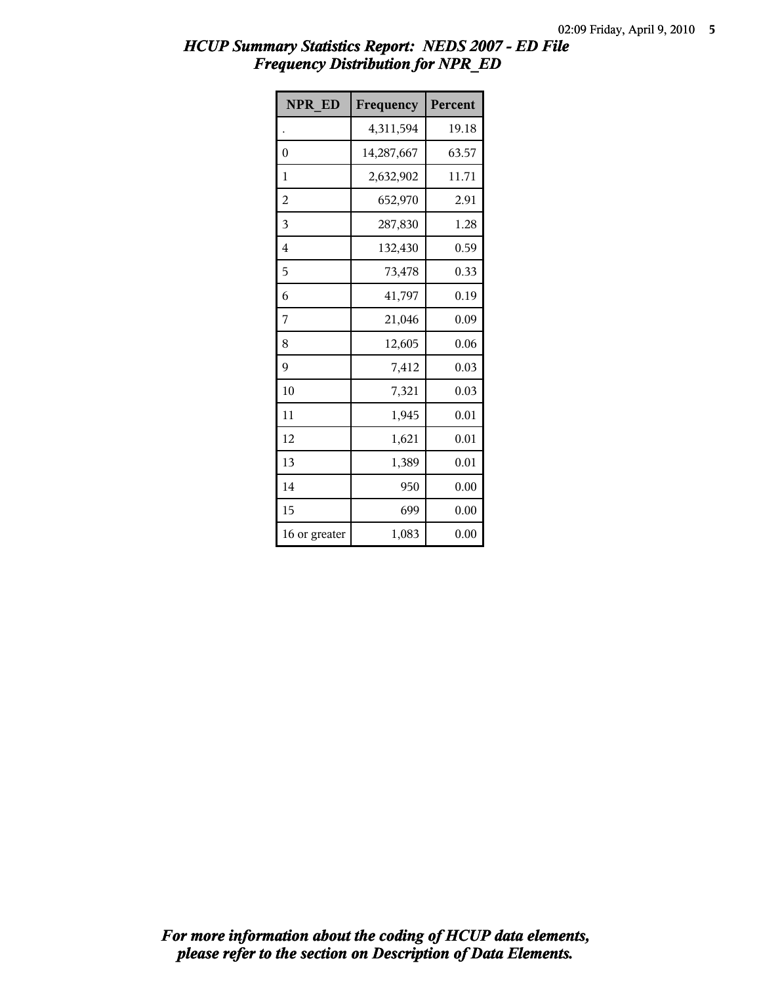| <b>NPR ED</b> | Frequency  | Percent |
|---------------|------------|---------|
|               | 4,311,594  | 19.18   |
| 0             | 14,287,667 | 63.57   |
| 1             | 2,632,902  | 11.71   |
| 2             | 652,970    | 2.91    |
| 3             | 287,830    | 1.28    |
| 4             | 132,430    | 0.59    |
| 5             | 73,478     | 0.33    |
| 6             | 41,797     | 0.19    |
| 7             | 21,046     | 0.09    |
| 8             | 12,605     | 0.06    |
| 9             | 7,412      | 0.03    |
| 10            | 7,321      | 0.03    |
| 11            | 1,945      | 0.01    |
| 12            | 1,621      | 0.01    |
| 13            | 1,389      | 0.01    |
| 14            | 950        | 0.00    |
| 15            | 699        | 0.00    |
| 16 or greater | 1,083      | 0.00    |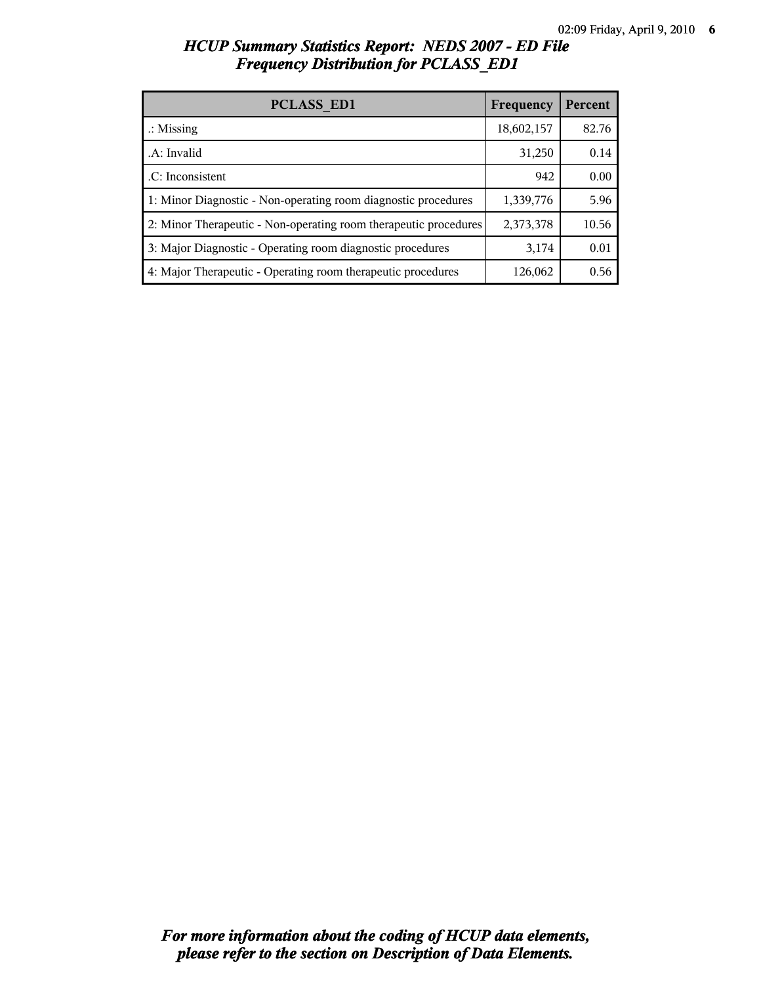| <b>PCLASS ED1</b>                                                | Frequency  | Percent |
|------------------------------------------------------------------|------------|---------|
| $\therefore$ Missing                                             | 18,602,157 | 82.76   |
| .A: Invalid                                                      | 31,250     | 0.14    |
| .C: Inconsistent                                                 | 942        | 0.00    |
| 1: Minor Diagnostic - Non-operating room diagnostic procedures   | 1,339,776  | 5.96    |
| 2: Minor Therapeutic - Non-operating room therapeutic procedures | 2,373,378  | 10.56   |
| 3: Major Diagnostic - Operating room diagnostic procedures       | 3,174      | 0.01    |
| 4: Major Therapeutic - Operating room therapeutic procedures     | 126,062    | 0.56    |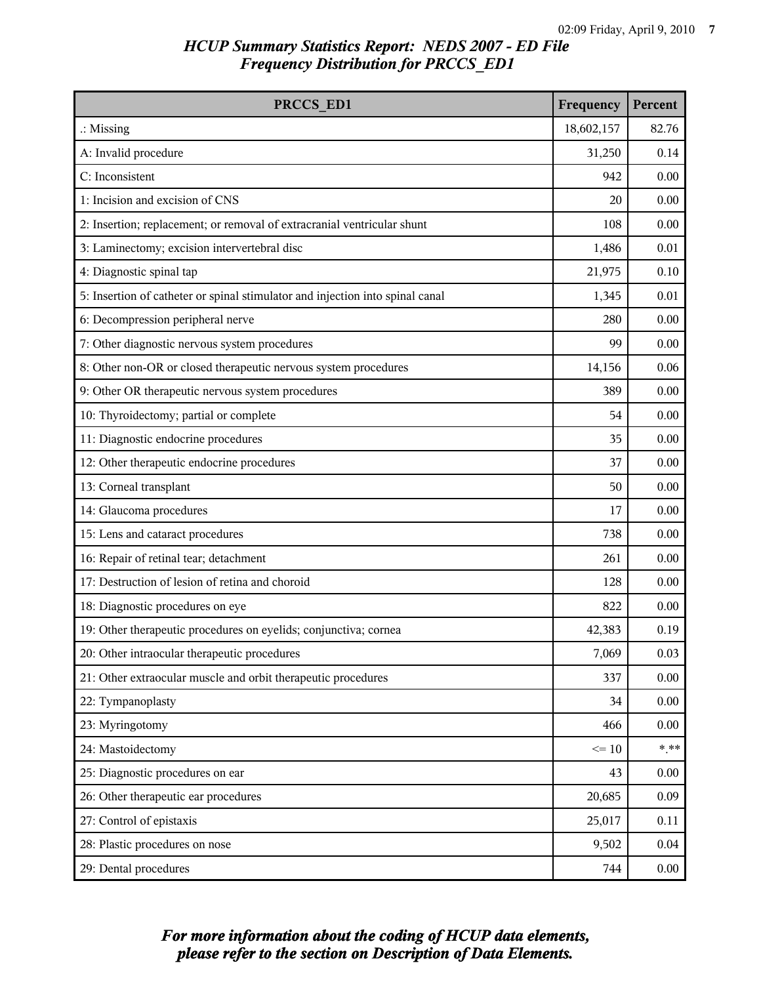| PRCCS ED1                                                                     | Frequency  | Percent |
|-------------------------------------------------------------------------------|------------|---------|
| $\therefore$ Missing                                                          | 18,602,157 | 82.76   |
| A: Invalid procedure                                                          | 31,250     | 0.14    |
| C: Inconsistent                                                               | 942        | 0.00    |
| 1: Incision and excision of CNS                                               | 20         | 0.00    |
| 2: Insertion; replacement; or removal of extracranial ventricular shunt       | 108        | 0.00    |
| 3: Laminectomy; excision intervertebral disc                                  | 1,486      | 0.01    |
| 4: Diagnostic spinal tap                                                      | 21,975     | 0.10    |
| 5: Insertion of catheter or spinal stimulator and injection into spinal canal | 1,345      | 0.01    |
| 6: Decompression peripheral nerve                                             | 280        | 0.00    |
| 7: Other diagnostic nervous system procedures                                 | 99         | 0.00    |
| 8: Other non-OR or closed therapeutic nervous system procedures               | 14,156     | 0.06    |
| 9: Other OR therapeutic nervous system procedures                             | 389        | 0.00    |
| 10: Thyroidectomy; partial or complete                                        | 54         | 0.00    |
| 11: Diagnostic endocrine procedures                                           | 35         | 0.00    |
| 12: Other therapeutic endocrine procedures                                    | 37         | 0.00    |
| 13: Corneal transplant                                                        | 50         | 0.00    |
| 14: Glaucoma procedures                                                       | 17         | 0.00    |
| 15: Lens and cataract procedures                                              | 738        | 0.00    |
| 16: Repair of retinal tear; detachment                                        | 261        | 0.00    |
| 17: Destruction of lesion of retina and choroid                               | 128        | 0.00    |
| 18: Diagnostic procedures on eye                                              | 822        | 0.00    |
| 19: Other therapeutic procedures on eyelids; conjunctiva; cornea              | 42,383     | 0.19    |
| 20: Other intraocular therapeutic procedures                                  | 7,069      | 0.03    |
| 21: Other extraocular muscle and orbit therapeutic procedures                 | 337        | 0.00    |
| 22: Tympanoplasty                                                             | 34         | 0.00    |
| 23: Myringotomy                                                               | 466        | 0.00    |
| 24: Mastoidectomy                                                             | $\leq 10$  | $***$   |
| 25: Diagnostic procedures on ear                                              | 43         | 0.00    |
| 26: Other therapeutic ear procedures                                          | 20,685     | 0.09    |
| 27: Control of epistaxis                                                      | 25,017     | 0.11    |
| 28: Plastic procedures on nose                                                | 9,502      | 0.04    |
| 29: Dental procedures                                                         | 744        | 0.00    |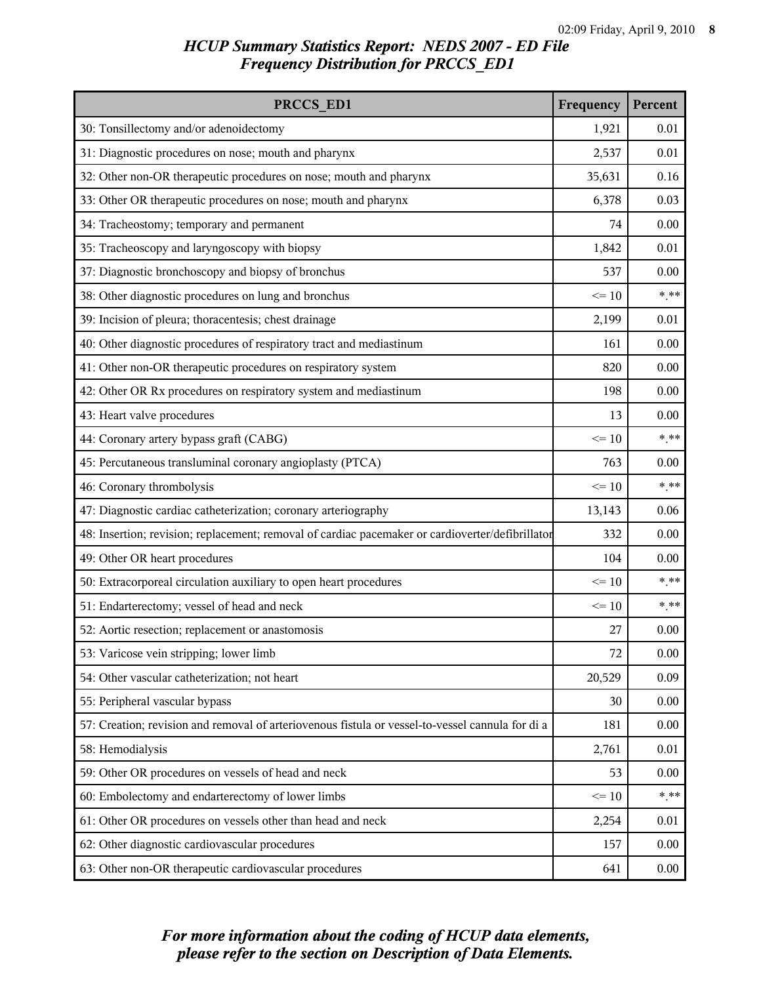| PRCCS ED1                                                                                        | Frequency | Percent |
|--------------------------------------------------------------------------------------------------|-----------|---------|
| 30: Tonsillectomy and/or adenoidectomy                                                           | 1,921     | 0.01    |
| 31: Diagnostic procedures on nose; mouth and pharynx                                             | 2,537     | 0.01    |
| 32: Other non-OR therapeutic procedures on nose; mouth and pharynx                               | 35,631    | 0.16    |
| 33: Other OR therapeutic procedures on nose; mouth and pharynx                                   | 6,378     | 0.03    |
| 34: Tracheostomy; temporary and permanent                                                        | 74        | 0.00    |
| 35: Tracheoscopy and laryngoscopy with biopsy                                                    | 1,842     | 0.01    |
| 37: Diagnostic bronchoscopy and biopsy of bronchus                                               | 537       | 0.00    |
| 38: Other diagnostic procedures on lung and bronchus                                             | $\leq 10$ | $***$   |
| 39: Incision of pleura; thoracentesis; chest drainage                                            | 2,199     | 0.01    |
| 40: Other diagnostic procedures of respiratory tract and mediastinum                             | 161       | 0.00    |
| 41: Other non-OR therapeutic procedures on respiratory system                                    | 820       | 0.00    |
| 42: Other OR Rx procedures on respiratory system and mediastinum                                 | 198       | 0.00    |
| 43: Heart valve procedures                                                                       | 13        | 0.00    |
| 44: Coronary artery bypass graft (CABG)                                                          | $\leq 10$ | $***$   |
| 45: Percutaneous transluminal coronary angioplasty (PTCA)                                        | 763       | 0.00    |
| 46: Coronary thrombolysis                                                                        | $\leq 10$ | $***$   |
| 47: Diagnostic cardiac catheterization; coronary arteriography                                   | 13,143    | 0.06    |
| 48: Insertion; revision; replacement; removal of cardiac pacemaker or cardioverter/defibrillator | 332       | 0.00    |
| 49: Other OR heart procedures                                                                    | 104       | 0.00    |
| 50: Extracorporeal circulation auxiliary to open heart procedures                                | $\leq 10$ | $***$   |
| 51: Endarterectomy; vessel of head and neck                                                      | $\leq 10$ | $***$   |
| 52: Aortic resection; replacement or anastomosis                                                 | 27        | 0.00    |
| 53: Varicose vein stripping; lower limb                                                          | 72        | 0.00    |
| 54: Other vascular catheterization; not heart                                                    | 20,529    | 0.09    |
| 55: Peripheral vascular bypass                                                                   | 30        | 0.00    |
| 57: Creation; revision and removal of arteriovenous fistula or vessel-to-vessel cannula for di a | 181       | 0.00    |
| 58: Hemodialysis                                                                                 | 2,761     | 0.01    |
| 59: Other OR procedures on vessels of head and neck                                              | 53        | 0.00    |
| 60: Embolectomy and endarterectomy of lower limbs                                                | $\leq 10$ | $***$   |
| 61: Other OR procedures on vessels other than head and neck                                      | 2,254     | 0.01    |
| 62: Other diagnostic cardiovascular procedures                                                   | 157       | 0.00    |
| 63: Other non-OR therapeutic cardiovascular procedures                                           | 641       | 0.00    |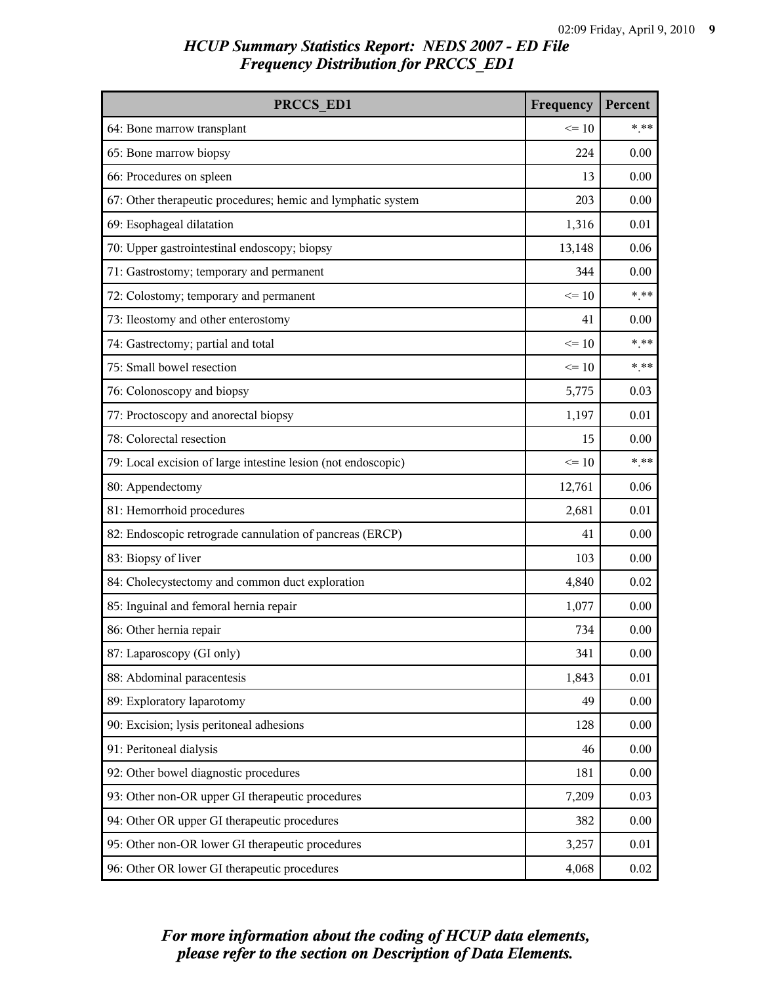| PRCCS ED1                                                     | Frequency | Percent  |
|---------------------------------------------------------------|-----------|----------|
| 64: Bone marrow transplant                                    | $\leq 10$ | $***$    |
| 65: Bone marrow biopsy                                        | 224       | 0.00     |
| 66: Procedures on spleen                                      | 13        | 0.00     |
| 67: Other therapeutic procedures; hemic and lymphatic system  | 203       | 0.00     |
| 69: Esophageal dilatation                                     | 1,316     | 0.01     |
| 70: Upper gastrointestinal endoscopy; biopsy                  | 13,148    | 0.06     |
| 71: Gastrostomy; temporary and permanent                      | 344       | 0.00     |
| 72: Colostomy; temporary and permanent                        | $\leq 10$ | $***$    |
| 73: Ileostomy and other enterostomy                           | 41        | 0.00     |
| 74: Gastrectomy; partial and total                            | $\leq 10$ | $***$    |
| 75: Small bowel resection                                     | $\leq 10$ | $***$    |
| 76: Colonoscopy and biopsy                                    | 5,775     | 0.03     |
| 77: Proctoscopy and anorectal biopsy                          | 1,197     | 0.01     |
| 78: Colorectal resection                                      | 15        | 0.00     |
| 79: Local excision of large intestine lesion (not endoscopic) | $\leq 10$ | $***$    |
| 80: Appendectomy                                              | 12,761    | 0.06     |
| 81: Hemorrhoid procedures                                     | 2,681     | 0.01     |
| 82: Endoscopic retrograde cannulation of pancreas (ERCP)      | 41        | 0.00     |
| 83: Biopsy of liver                                           | 103       | 0.00     |
| 84: Cholecystectomy and common duct exploration               | 4,840     | 0.02     |
| 85: Inguinal and femoral hernia repair                        | 1,077     | 0.00     |
| 86: Other hernia repair                                       | 734       | 0.00     |
| 87: Laparoscopy (GI only)                                     | 341       | 0.00     |
| 88: Abdominal paracentesis                                    | 1,843     | 0.01     |
| 89: Exploratory laparotomy                                    | 49        | 0.00     |
| 90: Excision; lysis peritoneal adhesions                      | 128       | 0.00     |
| 91: Peritoneal dialysis                                       | 46        | 0.00     |
| 92: Other bowel diagnostic procedures                         | 181       | 0.00     |
| 93: Other non-OR upper GI therapeutic procedures              | 7,209     | 0.03     |
| 94: Other OR upper GI therapeutic procedures                  | 382       | 0.00     |
| 95: Other non-OR lower GI therapeutic procedures              | 3,257     | 0.01     |
| 96: Other OR lower GI therapeutic procedures                  | 4,068     | $0.02\,$ |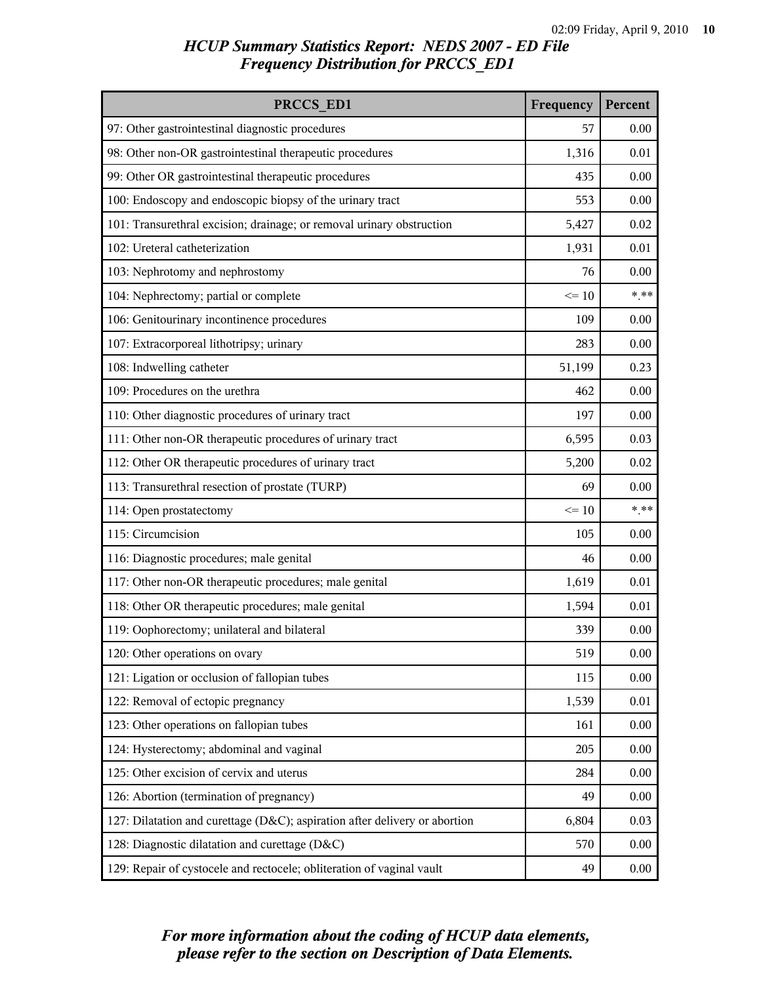| PRCCS ED1                                                                  | Frequency | Percent  |
|----------------------------------------------------------------------------|-----------|----------|
| 97: Other gastrointestinal diagnostic procedures                           | 57        | 0.00     |
| 98: Other non-OR gastrointestinal therapeutic procedures                   | 1,316     | 0.01     |
| 99: Other OR gastrointestinal therapeutic procedures                       | 435       | 0.00     |
| 100: Endoscopy and endoscopic biopsy of the urinary tract                  | 553       | 0.00     |
| 101: Transurethral excision; drainage; or removal urinary obstruction      | 5,427     | 0.02     |
| 102: Ureteral catheterization                                              | 1,931     | 0.01     |
| 103: Nephrotomy and nephrostomy                                            | 76        | 0.00     |
| 104: Nephrectomy; partial or complete                                      | $\leq 10$ | $***$    |
| 106: Genitourinary incontinence procedures                                 | 109       | 0.00     |
| 107: Extracorporeal lithotripsy; urinary                                   | 283       | 0.00     |
| 108: Indwelling catheter                                                   | 51,199    | 0.23     |
| 109: Procedures on the urethra                                             | 462       | 0.00     |
| 110: Other diagnostic procedures of urinary tract                          | 197       | 0.00     |
| 111: Other non-OR therapeutic procedures of urinary tract                  | 6,595     | 0.03     |
| 112: Other OR therapeutic procedures of urinary tract                      | 5,200     | 0.02     |
| 113: Transurethral resection of prostate (TURP)                            | 69        | 0.00     |
| 114: Open prostatectomy                                                    | $\leq 10$ | $*$ **   |
| 115: Circumcision                                                          | 105       | 0.00     |
| 116: Diagnostic procedures; male genital                                   | 46        | 0.00     |
| 117: Other non-OR therapeutic procedures; male genital                     | 1,619     | 0.01     |
| 118: Other OR therapeutic procedures; male genital                         | 1,594     | 0.01     |
| 119: Oophorectomy; unilateral and bilateral                                | 339       | 0.00     |
| 120: Other operations on ovary                                             | 519       | 0.00     |
| 121: Ligation or occlusion of fallopian tubes                              | 115       | 0.00     |
| 122: Removal of ectopic pregnancy                                          | 1,539     | 0.01     |
| 123: Other operations on fallopian tubes                                   | 161       | 0.00     |
| 124: Hysterectomy; abdominal and vaginal                                   | 205       | 0.00     |
| 125: Other excision of cervix and uterus                                   | 284       | 0.00     |
| 126: Abortion (termination of pregnancy)                                   | 49        | 0.00     |
| 127: Dilatation and curettage (D&C); aspiration after delivery or abortion | 6,804     | 0.03     |
| 128: Diagnostic dilatation and curettage (D&C)                             | 570       | 0.00     |
| 129: Repair of cystocele and rectocele; obliteration of vaginal vault      | 49        | $0.00\,$ |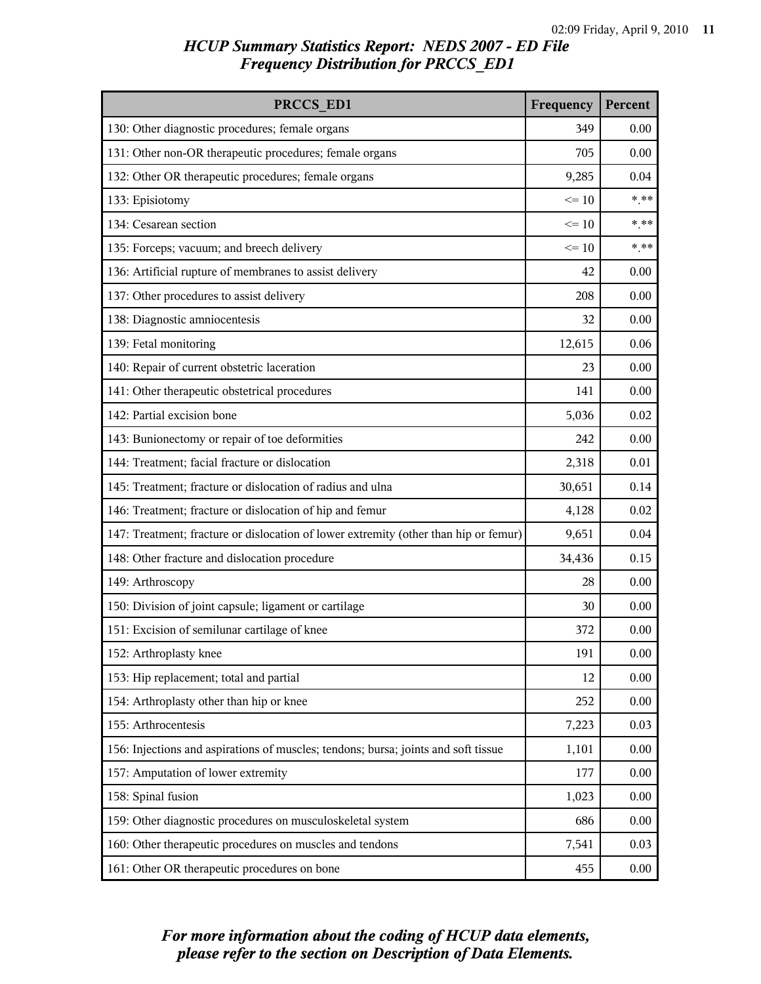| PRCCS ED1                                                                            | Frequency | Percent  |
|--------------------------------------------------------------------------------------|-----------|----------|
| 130: Other diagnostic procedures; female organs                                      | 349       | 0.00     |
| 131: Other non-OR therapeutic procedures; female organs                              | 705       | 0.00     |
| 132: Other OR therapeutic procedures; female organs                                  | 9,285     | 0.04     |
| 133: Episiotomy                                                                      | $\leq 10$ | $***$    |
| 134: Cesarean section                                                                | $\leq 10$ | $***$    |
| 135: Forceps; vacuum; and breech delivery                                            | $\leq 10$ | $***$    |
| 136: Artificial rupture of membranes to assist delivery                              | 42        | 0.00     |
| 137: Other procedures to assist delivery                                             | 208       | 0.00     |
| 138: Diagnostic amniocentesis                                                        | 32        | 0.00     |
| 139: Fetal monitoring                                                                | 12,615    | 0.06     |
| 140: Repair of current obstetric laceration                                          | 23        | 0.00     |
| 141: Other therapeutic obstetrical procedures                                        | 141       | 0.00     |
| 142: Partial excision bone                                                           | 5,036     | 0.02     |
| 143: Bunionectomy or repair of toe deformities                                       | 242       | 0.00     |
| 144: Treatment; facial fracture or dislocation                                       | 2,318     | 0.01     |
| 145: Treatment; fracture or dislocation of radius and ulna                           | 30,651    | 0.14     |
| 146: Treatment; fracture or dislocation of hip and femur                             | 4,128     | 0.02     |
| 147: Treatment; fracture or dislocation of lower extremity (other than hip or femur) | 9,651     | 0.04     |
| 148: Other fracture and dislocation procedure                                        | 34,436    | 0.15     |
| 149: Arthroscopy                                                                     | 28        | 0.00     |
| 150: Division of joint capsule; ligament or cartilage                                | 30        | 0.00     |
| 151: Excision of semilunar cartilage of knee                                         | 372       | 0.00     |
| 152: Arthroplasty knee                                                               | 191       | 0.00     |
| 153: Hip replacement; total and partial                                              | 12        | 0.00     |
| 154: Arthroplasty other than hip or knee                                             | 252       | 0.00     |
| 155: Arthrocentesis                                                                  | 7,223     | 0.03     |
| 156: Injections and aspirations of muscles; tendons; bursa; joints and soft tissue   | 1,101     | $0.00\,$ |
| 157: Amputation of lower extremity                                                   | 177       | 0.00     |
| 158: Spinal fusion                                                                   | 1,023     | 0.00     |
| 159: Other diagnostic procedures on musculoskeletal system                           | 686       | 0.00     |
| 160: Other therapeutic procedures on muscles and tendons                             | 7,541     | 0.03     |
| 161: Other OR therapeutic procedures on bone                                         | 455       | 0.00     |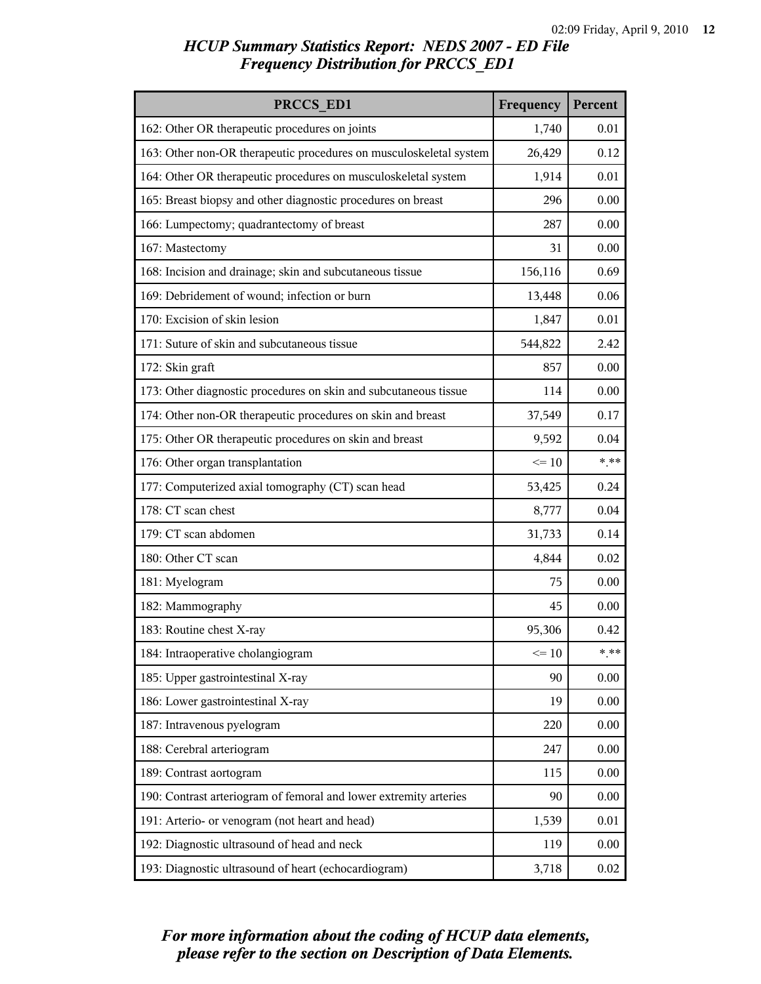| PRCCS ED1                                                          | Frequency | Percent  |
|--------------------------------------------------------------------|-----------|----------|
| 162: Other OR therapeutic procedures on joints                     | 1,740     | 0.01     |
| 163: Other non-OR therapeutic procedures on musculoskeletal system | 26,429    | 0.12     |
| 164: Other OR therapeutic procedures on musculoskeletal system     | 1,914     | 0.01     |
| 165: Breast biopsy and other diagnostic procedures on breast       | 296       | 0.00     |
| 166: Lumpectomy; quadrantectomy of breast                          | 287       | 0.00     |
| 167: Mastectomy                                                    | 31        | 0.00     |
| 168: Incision and drainage; skin and subcutaneous tissue           | 156,116   | 0.69     |
| 169: Debridement of wound; infection or burn                       | 13,448    | 0.06     |
| 170: Excision of skin lesion                                       | 1,847     | 0.01     |
| 171: Suture of skin and subcutaneous tissue                        | 544,822   | 2.42     |
| 172: Skin graft                                                    | 857       | 0.00     |
| 173: Other diagnostic procedures on skin and subcutaneous tissue   | 114       | 0.00     |
| 174: Other non-OR therapeutic procedures on skin and breast        | 37,549    | 0.17     |
| 175: Other OR therapeutic procedures on skin and breast            | 9,592     | 0.04     |
| 176: Other organ transplantation                                   | $\leq 10$ | $***$    |
| 177: Computerized axial tomography (CT) scan head                  | 53,425    | 0.24     |
| 178: CT scan chest                                                 | 8,777     | 0.04     |
| 179: CT scan abdomen                                               | 31,733    | 0.14     |
| 180: Other CT scan                                                 | 4,844     | 0.02     |
| 181: Myelogram                                                     | 75        | 0.00     |
| 182: Mammography                                                   | 45        | 0.00     |
| 183: Routine chest X-ray                                           | 95,306    | 0.42     |
| 184: Intraoperative cholangiogram                                  | $\leq 10$ | $***$    |
| 185: Upper gastrointestinal X-ray                                  | 90        | 0.00     |
| 186: Lower gastrointestinal X-ray                                  | 19        | 0.00     |
| 187: Intravenous pyelogram                                         | 220       | 0.00     |
| 188: Cerebral arteriogram                                          | 247       | 0.00     |
| 189: Contrast aortogram                                            | 115       | 0.00     |
| 190: Contrast arteriogram of femoral and lower extremity arteries  | 90        | 0.00     |
| 191: Arterio- or venogram (not heart and head)                     | 1,539     | 0.01     |
| 192: Diagnostic ultrasound of head and neck                        | 119       | 0.00     |
| 193: Diagnostic ultrasound of heart (echocardiogram)               | 3,718     | $0.02\,$ |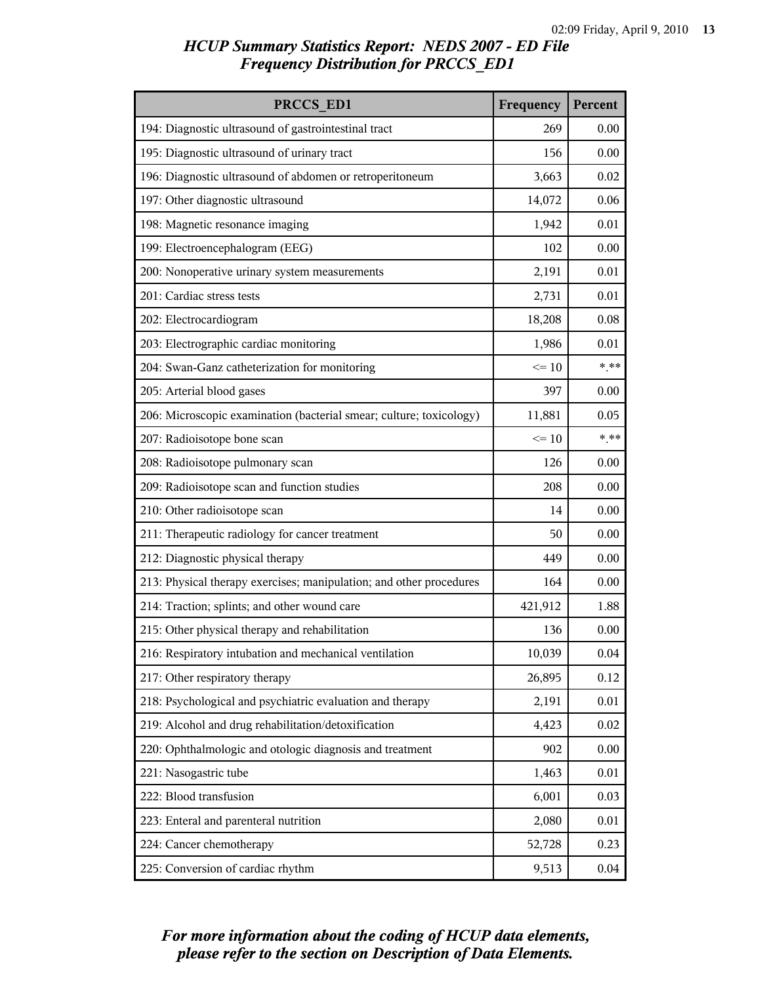| PRCCS ED1                                                           | Frequency | Percent  |
|---------------------------------------------------------------------|-----------|----------|
| 194: Diagnostic ultrasound of gastrointestinal tract                | 269       | 0.00     |
| 195: Diagnostic ultrasound of urinary tract                         | 156       | 0.00     |
| 196: Diagnostic ultrasound of abdomen or retroperitoneum            | 3,663     | 0.02     |
| 197: Other diagnostic ultrasound                                    | 14,072    | 0.06     |
| 198: Magnetic resonance imaging                                     | 1,942     | 0.01     |
| 199: Electroencephalogram (EEG)                                     | 102       | 0.00     |
| 200: Nonoperative urinary system measurements                       | 2,191     | 0.01     |
| 201: Cardiac stress tests                                           | 2,731     | 0.01     |
| 202: Electrocardiogram                                              | 18,208    | 0.08     |
| 203: Electrographic cardiac monitoring                              | 1,986     | 0.01     |
| 204: Swan-Ganz catheterization for monitoring                       | $\leq 10$ | $***$    |
| 205: Arterial blood gases                                           | 397       | 0.00     |
| 206: Microscopic examination (bacterial smear; culture; toxicology) | 11,881    | 0.05     |
| 207: Radioisotope bone scan                                         | $\leq 10$ | $***$    |
| 208: Radioisotope pulmonary scan                                    | 126       | 0.00     |
| 209: Radioisotope scan and function studies                         | 208       | 0.00     |
| 210: Other radioisotope scan                                        | 14        | 0.00     |
| 211: Therapeutic radiology for cancer treatment                     | 50        | 0.00     |
| 212: Diagnostic physical therapy                                    | 449       | 0.00     |
| 213: Physical therapy exercises; manipulation; and other procedures | 164       | 0.00     |
| 214: Traction; splints; and other wound care                        | 421,912   | 1.88     |
| 215: Other physical therapy and rehabilitation                      | 136       | 0.00     |
| 216: Respiratory intubation and mechanical ventilation              | 10,039    | 0.04     |
| 217: Other respiratory therapy                                      | 26,895    | 0.12     |
| 218: Psychological and psychiatric evaluation and therapy           | 2,191     | 0.01     |
| 219: Alcohol and drug rehabilitation/detoxification                 | 4,423     | 0.02     |
| 220: Ophthalmologic and otologic diagnosis and treatment            | 902       | 0.00     |
| 221: Nasogastric tube                                               | 1,463     | 0.01     |
| 222: Blood transfusion                                              | 6,001     | 0.03     |
| 223: Enteral and parenteral nutrition                               | 2,080     | 0.01     |
| 224: Cancer chemotherapy                                            | 52,728    | 0.23     |
| 225: Conversion of cardiac rhythm                                   | 9,513     | $0.04\,$ |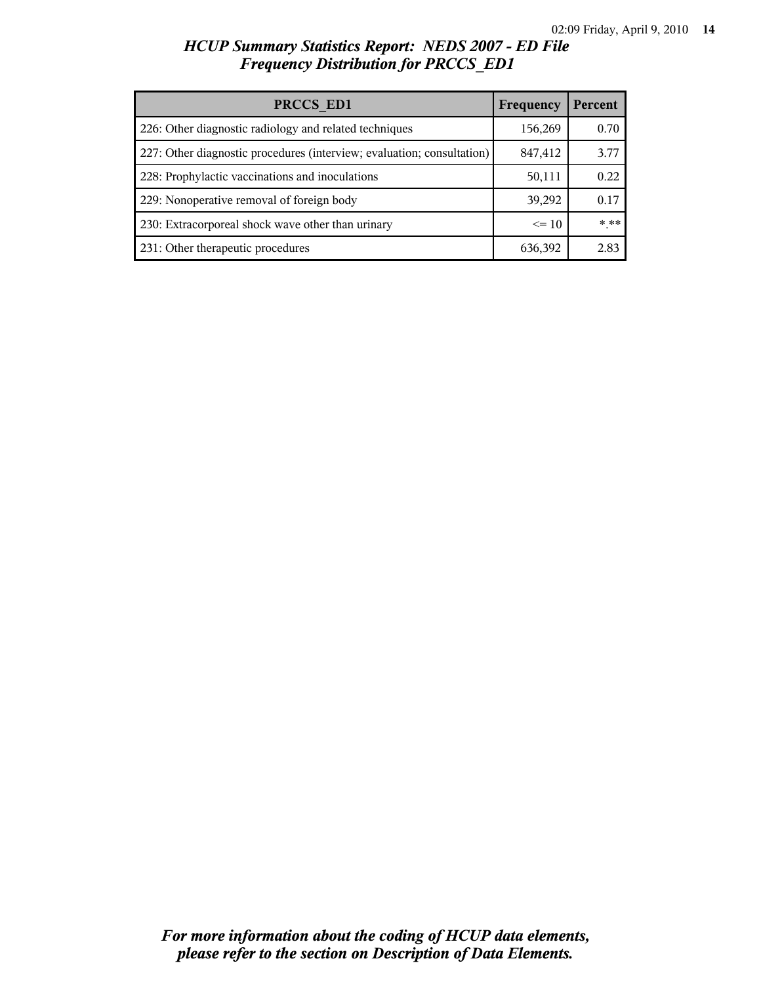| PRCCS ED1                                                              | Frequency | Percent |
|------------------------------------------------------------------------|-----------|---------|
| 226: Other diagnostic radiology and related techniques                 | 156,269   | 0.70    |
| 227: Other diagnostic procedures (interview; evaluation; consultation) | 847,412   | 3.77    |
| 228: Prophylactic vaccinations and inoculations                        | 50,111    | 0.22    |
| 229: Nonoperative removal of foreign body                              | 39,292    | 0.17    |
| 230: Extracorporeal shock wave other than urinary                      | $\leq$ 10 | $***$   |
| 231: Other therapeutic procedures                                      | 636,392   | 2.83    |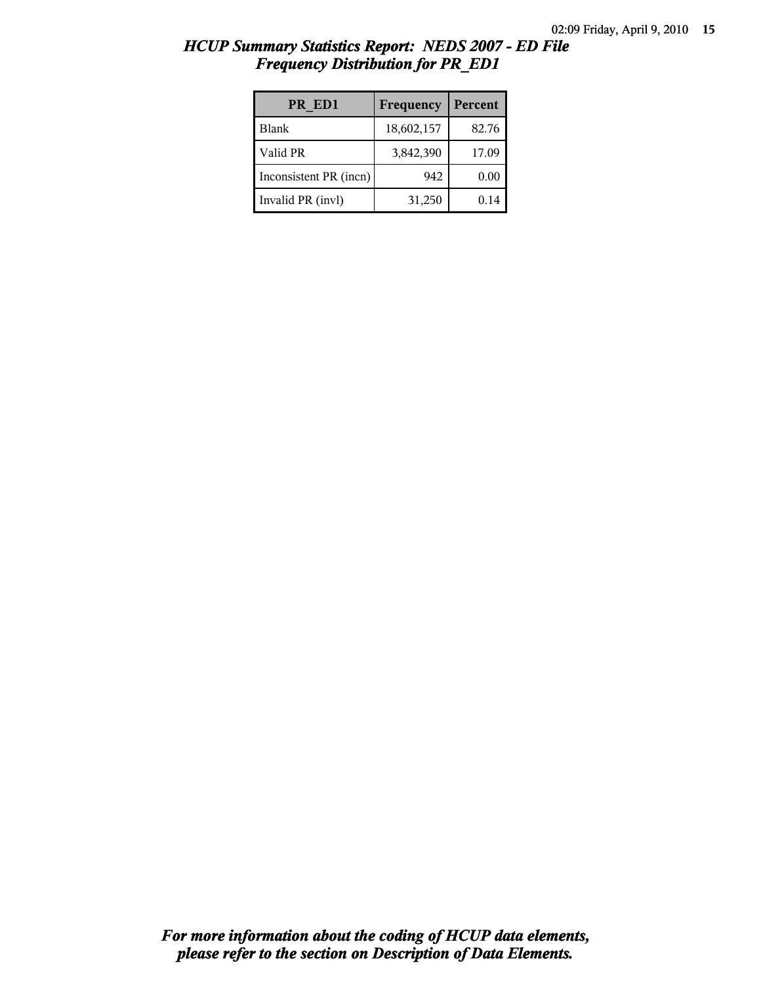| PR ED1                 | Frequency  | Percent |
|------------------------|------------|---------|
| Blank                  | 18,602,157 | 82.76   |
| Valid PR               | 3,842,390  | 17.09   |
| Inconsistent PR (incn) | 942        | 0.00    |
| Invalid PR (invl)      | 31,250     | 0.14    |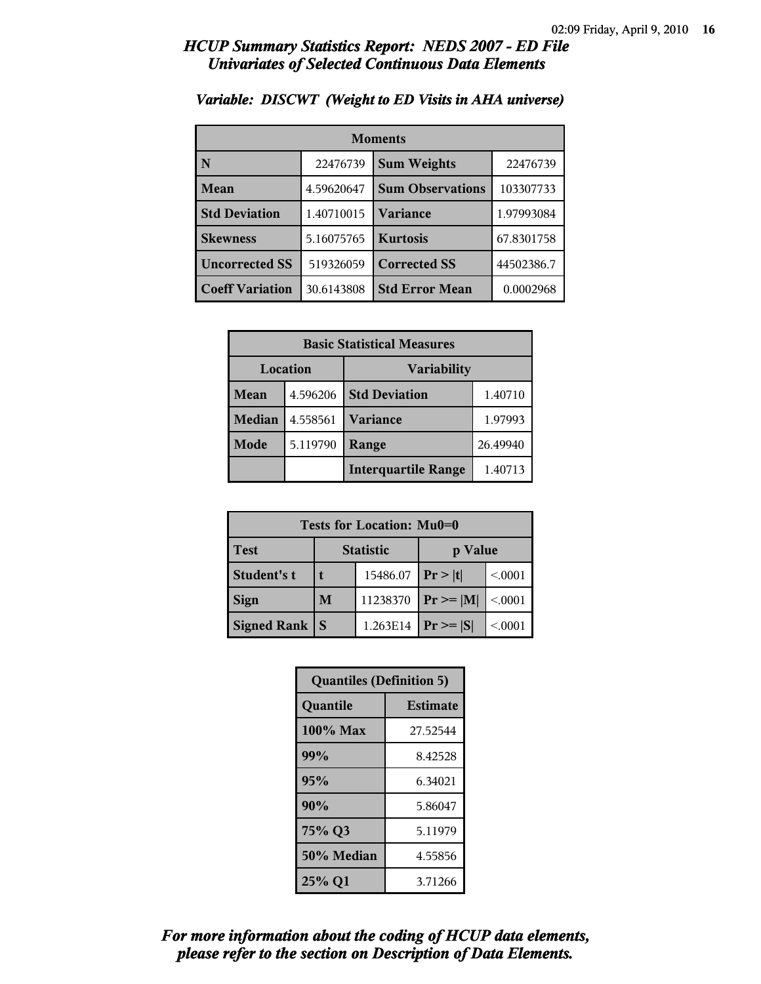### *HCUP Summary Statistics Report: NEDS 2007 - ED File Univariates of Selected Continuous Data Elements*

| <b>Moments</b>         |            |                         |            |
|------------------------|------------|-------------------------|------------|
| N                      | 22476739   | <b>Sum Weights</b>      | 22476739   |
| Mean                   | 4.59620647 | <b>Sum Observations</b> | 103307733  |
| <b>Std Deviation</b>   | 1.40710015 | Variance                | 1.97993084 |
| <b>Skewness</b>        | 5.16075765 | <b>Kurtosis</b>         | 67.8301758 |
| <b>Uncorrected SS</b>  | 519326059  | <b>Corrected SS</b>     | 44502386.7 |
| <b>Coeff Variation</b> | 30.6143808 | <b>Std Error Mean</b>   | 0.0002968  |

### *Variable: DISCWT (Weight to ED Visits in AHA universe)*

| <b>Basic Statistical Measures</b> |          |                            |          |
|-----------------------------------|----------|----------------------------|----------|
| Location                          |          | <b>Variability</b>         |          |
| Mean                              | 4.596206 | <b>Std Deviation</b>       | 1.40710  |
| <b>Median</b>                     | 4.558561 | <b>Variance</b>            | 1.97993  |
| Mode                              | 5.119790 | Range                      | 26.49940 |
|                                   |          | <b>Interquartile Range</b> | 1.40713  |

| Tests for Location: Mu0=0 |                  |          |                |         |
|---------------------------|------------------|----------|----------------|---------|
| <b>Test</b>               | <b>Statistic</b> |          | p Value        |         |
| Student's t               |                  | 15486.07 | Pr >  t        | < 0.001 |
| <b>Sign</b>               | M                | 11238370 | $Pr \ge =  M $ | < 0.001 |
| Signed Rank               |                  | 1.263E14 | $Pr \geq  S $  | < 0001  |

| <b>Quantiles (Definition 5)</b> |                 |  |
|---------------------------------|-----------------|--|
| Quantile                        | <b>Estimate</b> |  |
| 100% Max                        | 27.52544        |  |
| 99%                             | 8.42528         |  |
| 95%                             | 6.34021         |  |
| 90%                             | 5.86047         |  |
| 75% Q3                          | 5.11979         |  |
| 50% Median                      | 4.55856         |  |
| 25% Q1                          | 3.71266         |  |